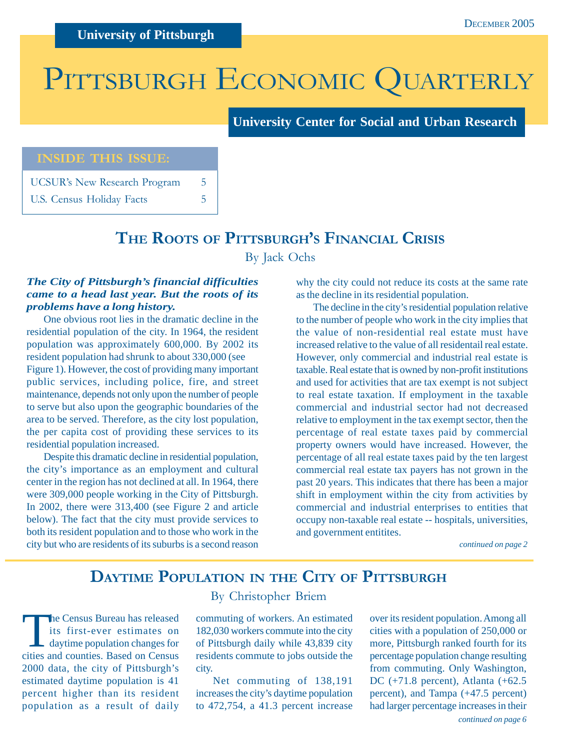# PITTSBURGH ECONOMIC QUARTERLY

**University Center for Social and Urban Research**

### **INSIDE THIS ISSUE:**

UCSUR's New Research Program 5 U.S. Census Holiday Facts 5

### **THE ROOTS OF PITTSBURGH'S FINANCIAL CRISIS**

By Jack Ochs

### *The City of Pittsburgh's financial difficulties came to a head last year. But the roots of its problems have a long history.*

One obvious root lies in the dramatic decline in the residential population of the city. In 1964, the resident population was approximately 600,000. By 2002 its resident population had shrunk to about 330,000 (see Figure 1). However, the cost of providing many important public services, including police, fire, and street maintenance, depends not only upon the number of people to serve but also upon the geographic boundaries of the area to be served. Therefore, as the city lost population, the per capita cost of providing these services to its residential population increased.

Despite this dramatic decline in residential population, the city's importance as an employment and cultural center in the region has not declined at all. In 1964, there were 309,000 people working in the City of Pittsburgh. In 2002, there were 313,400 (see Figure 2 and article below). The fact that the city must provide services to both its resident population and to those who work in the city but who are residents of its suburbs is a second reason

why the city could not reduce its costs at the same rate as the decline in its residential population.

The decline in the city's residential population relative to the number of people who work in the city implies that the value of non-residential real estate must have increased relative to the value of all residentail real estate. However, only commercial and industrial real estate is taxable. Real estate that is owned by non-profit institutions and used for activities that are tax exempt is not subject to real estate taxation. If employment in the taxable commercial and industrial sector had not decreased relative to employment in the tax exempt sector, then the percentage of real estate taxes paid by commercial property owners would have increased. However, the percentage of all real estate taxes paid by the ten largest commercial real estate tax payers has not grown in the past 20 years. This indicates that there has been a major shift in employment within the city from activities by commercial and industrial enterprises to entities that occupy non-taxable real estate -- hospitals, universities, and government entitites.

*continued on page 2*

# **DAYTIME POPULATION IN THE CITY OF PITTSBURGH**

The Census Bureau has released<br>its first-ever estimates on<br>daytime population changes for<br>existent counting Based on Consus its first-ever estimates on cities and counties. Based on Census 2000 data, the city of Pittsburgh's estimated daytime population is 41 percent higher than its resident population as a result of daily

### By Christopher Briem

commuting of workers. An estimated 182,030 workers commute into the city of Pittsburgh daily while 43,839 city residents commute to jobs outside the city.

Net commuting of 138,191 increases the city's daytime population to 472,754, a 41.3 percent increase

*continued on page 6* over its resident population. Among all cities with a population of 250,000 or more, Pittsburgh ranked fourth for its percentage population change resulting from commuting. Only Washington, DC (+71.8 percent), Atlanta (+62.5 percent), and Tampa (+47.5 percent) had larger percentage increases in their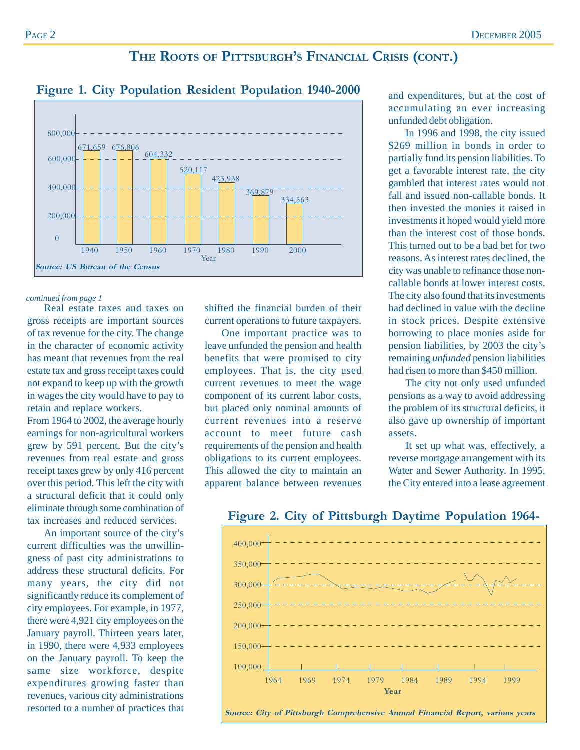### **THE ROOTS OF PITTSBURGH'S FINANCIAL CRISIS (CONT.)**



### **Figure 1. City Population Resident Population 1940-2000**

### *continued from page 1*

Real estate taxes and taxes on gross receipts are important sources of tax revenue for the city. The change in the character of economic activity has meant that revenues from the real estate tax and gross receipt taxes could not expand to keep up with the growth in wages the city would have to pay to retain and replace workers.

From 1964 to 2002, the average hourly earnings for non-agricultural workers grew by 591 percent. But the city's revenues from real estate and gross receipt taxes grew by only 416 percent over this period. This left the city with a structural deficit that it could only eliminate through some combination of tax increases and reduced services.

An important source of the city's current difficulties was the unwillingness of past city administrations to address these structural deficits. For many years, the city did not significantly reduce its complement of city employees. For example, in 1977, there were 4,921 city employees on the January payroll. Thirteen years later, in 1990, there were 4,933 employees on the January payroll. To keep the same size workforce, despite expenditures growing faster than revenues, various city administrations resorted to a number of practices that shifted the financial burden of their current operations to future taxpayers.

One important practice was to leave unfunded the pension and health benefits that were promised to city employees. That is, the city used current revenues to meet the wage component of its current labor costs, but placed only nominal amounts of current revenues into a reserve account to meet future cash requirements of the pension and health obligations to its current employees. This allowed the city to maintain an apparent balance between revenues and expenditures, but at the cost of accumulating an ever increasing unfunded debt obligation.

In 1996 and 1998, the city issued \$269 million in bonds in order to partially fund its pension liabilities. To get a favorable interest rate, the city gambled that interest rates would not fall and issued non-callable bonds. It then invested the monies it raised in investments it hoped would yield more than the interest cost of those bonds. This turned out to be a bad bet for two reasons. As interest rates declined, the city was unable to refinance those noncallable bonds at lower interest costs. The city also found that its investments had declined in value with the decline in stock prices. Despite extensive borrowing to place monies aside for pension liabilities, by 2003 the city's remaining *unfunded* pension liabilities had risen to more than \$450 million.

The city not only used unfunded pensions as a way to avoid addressing the problem of its structural deficits, it also gave up ownership of important assets.

It set up what was, effectively, a reverse mortgage arrangement with its Water and Sewer Authority. In 1995, the City entered into a lease agreement



**Figure 2. City of Pittsburgh Daytime Population 1964-**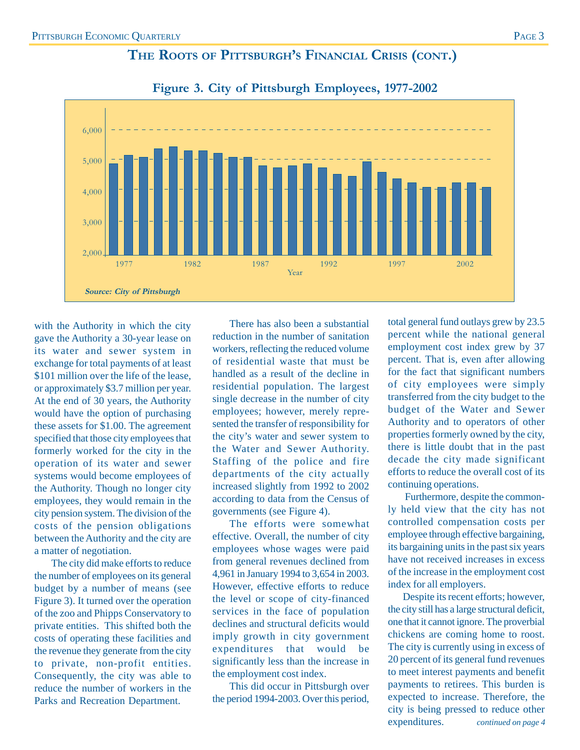### **THE ROOTS OF PITTSBURGH'S FINANCIAL CRISIS (CONT.)**





with the Authority in which the city gave the Authority a 30-year lease on its water and sewer system in exchange for total payments of at least \$101 million over the life of the lease, or approximately \$3.7 million per year. At the end of 30 years, the Authority would have the option of purchasing these assets for \$1.00. The agreement specified that those city employees that formerly worked for the city in the operation of its water and sewer systems would become employees of the Authority. Though no longer city employees, they would remain in the city pension system. The division of the costs of the pension obligations between the Authority and the city are a matter of negotiation.

The city did make efforts to reduce the number of employees on its general budget by a number of means (see Figure 3). It turned over the operation of the zoo and Phipps Conservatory to private entities. This shifted both the costs of operating these facilities and the revenue they generate from the city to private, non-profit entities. Consequently, the city was able to reduce the number of workers in the Parks and Recreation Department.

There has also been a substantial reduction in the number of sanitation workers, reflecting the reduced volume of residential waste that must be handled as a result of the decline in residential population. The largest single decrease in the number of city employees; however, merely represented the transfer of responsibility for the city's water and sewer system to the Water and Sewer Authority. Staffing of the police and fire departments of the city actually increased slightly from 1992 to 2002 according to data from the Census of governments (see Figure 4).

The efforts were somewhat effective. Overall, the number of city employees whose wages were paid from general revenues declined from 4,961 in January 1994 to 3,654 in 2003. However, effective efforts to reduce the level or scope of city-financed services in the face of population declines and structural deficits would imply growth in city government expenditures that would be significantly less than the increase in the employment cost index.

This did occur in Pittsburgh over the period 1994-2003. Over this period,

total general fund outlays grew by 23.5 percent while the national general employment cost index grew by 37 percent. That is, even after allowing for the fact that significant numbers of city employees were simply transferred from the city budget to the budget of the Water and Sewer Authority and to operators of other properties formerly owned by the city, there is little doubt that in the past decade the city made significant efforts to reduce the overall cost of its continuing operations.

Furthermore, despite the commonly held view that the city has not controlled compensation costs per employee through effective bargaining, its bargaining units in the past six years have not received increases in excess of the increase in the employment cost index for all employers.

Despite its recent efforts; however, the city still has a large structural deficit, one that it cannot ignore. The proverbial chickens are coming home to roost. The city is currently using in excess of 20 percent of its general fund revenues to meet interest payments and benefit payments to retirees. This burden is expected to increase. Therefore, the city is being pressed to reduce other expenditures. *continued on page 4*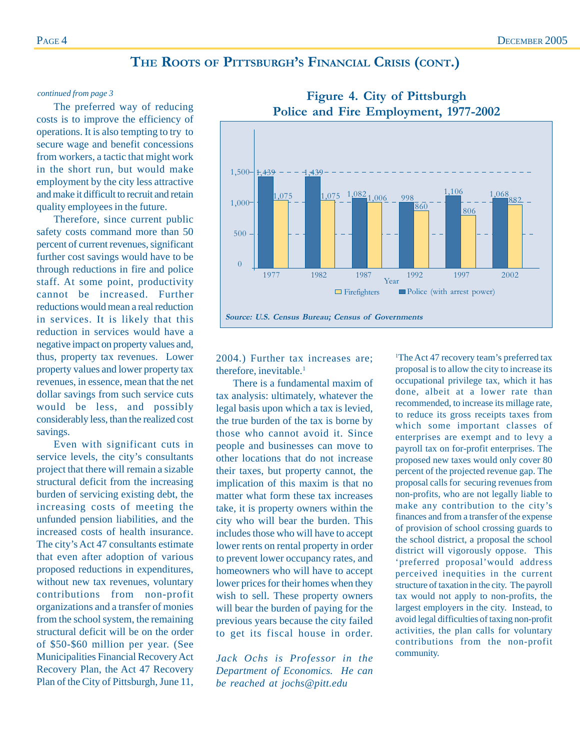### **THE ROOTS OF PITTSBURGH'S FINANCIAL CRISIS (CONT.)**

The preferred way of reducing costs is to improve the efficiency of operations. It is also tempting to try to secure wage and benefit concessions from workers, a tactic that might work in the short run, but would make employment by the city less attractive and make it difficult to recruit and retain quality employees in the future.

Therefore, since current public safety costs command more than 50 percent of current revenues, significant further cost savings would have to be through reductions in fire and police staff. At some point, productivity cannot be increased. Further reductions would mean a real reduction in services. It is likely that this reduction in services would have a negative impact on property values and, thus, property tax revenues. Lower property values and lower property tax revenues, in essence, mean that the net dollar savings from such service cuts would be less, and possibly considerably less, than the realized cost savings.

Even with significant cuts in service levels, the city's consultants project that there will remain a sizable structural deficit from the increasing burden of servicing existing debt, the increasing costs of meeting the unfunded pension liabilities, and the increased costs of health insurance. The city's Act 47 consultants estimate that even after adoption of various proposed reductions in expenditures, without new tax revenues, voluntary contributions from non-profit organizations and a transfer of monies from the school system, the remaining structural deficit will be on the order of \$50-\$60 million per year. (See Municipalities Financial Recovery Act Recovery Plan, the Act 47 Recovery Plan of the City of Pittsburgh, June 11,

2004.) Further tax increases are; therefore, inevitable.<sup>1</sup>

There is a fundamental maxim of tax analysis: ultimately, whatever the legal basis upon which a tax is levied, the true burden of the tax is borne by those who cannot avoid it. Since people and businesses can move to other locations that do not increase their taxes, but property cannot, the implication of this maxim is that no matter what form these tax increases take, it is property owners within the city who will bear the burden. This includes those who will have to accept lower rents on rental property in order to prevent lower occupancy rates, and homeowners who will have to accept lower prices for their homes when they wish to sell. These property owners will bear the burden of paying for the previous years because the city failed to get its fiscal house in order.

*Jack Ochs is Professor in the Department of Economics. He can be reached at jochs@pitt.edu*

<sup>1</sup>The Act 47 recovery team's preferred tax proposal is to allow the city to increase its occupational privilege tax, which it has done, albeit at a lower rate than recommended, to increase its millage rate, to reduce its gross receipts taxes from which some important classes of enterprises are exempt and to levy a payroll tax on for-profit enterprises. The proposed new taxes would only cover 80 percent of the projected revenue gap. The proposal calls for securing revenues from non-profits, who are not legally liable to make any contribution to the city's finances and from a transfer of the expense of provision of school crossing guards to the school district, a proposal the school district will vigorously oppose. This 'preferred proposal'would address perceived inequities in the current structure of taxation in the city. The payroll tax would not apply to non-profits, the largest employers in the city. Instead, to avoid legal difficulties of taxing non-profit activities, the plan calls for voluntary contributions from the non-profit community.



### *continued from page 3* **Figure 4. City of Pittsburgh Police and Fire Employment, 1977-2002**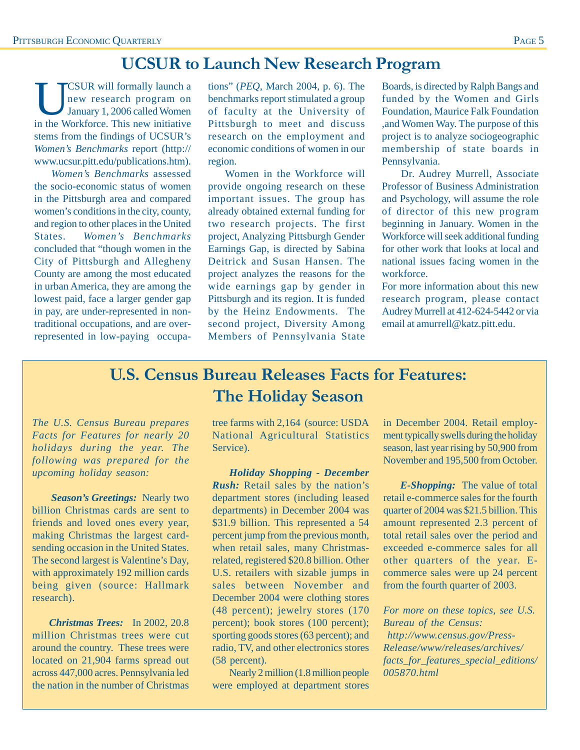# **UCSUR to Launch New Research Program**

UCSUR will formally launch a<br>new research program on<br>January 1, 2006 called Women new research program on January 1, 2006 called Women in the Workforce. This new initiative stems from the findings of UCSUR's *Women's Benchmarks* report (http:// www.ucsur.pitt.edu/publications.htm).

*Women's Benchmarks* assessed the socio-economic status of women in the Pittsburgh area and compared women's conditions in the city, county, and region to other places in the United States. *Women's Benchmarks* concluded that "though women in the City of Pittsburgh and Allegheny County are among the most educated in urban America, they are among the lowest paid, face a larger gender gap in pay, are under-represented in nontraditional occupations, and are overrepresented in low-paying occupations" (*PEQ*, March 2004, p. 6). The benchmarks report stimulated a group of faculty at the University of Pittsburgh to meet and discuss research on the employment and economic conditions of women in our region.

Women in the Workforce will provide ongoing research on these important issues. The group has already obtained external funding for two research projects. The first project, Analyzing Pittsburgh Gender Earnings Gap, is directed by Sabina Deitrick and Susan Hansen. The project analyzes the reasons for the wide earnings gap by gender in Pittsburgh and its region. It is funded by the Heinz Endowments. The second project, Diversity Among Members of Pennsylvania State

Boards, is directed by Ralph Bangs and funded by the Women and Girls Foundation, Maurice Falk Foundation ,and Women Way. The purpose of this project is to analyze sociogeographic membership of state boards in Pennsylvania.

Dr. Audrey Murrell, Associate Professor of Business Administration and Psychology, will assume the role of director of this new program beginning in January. Women in the Workforce will seek additional funding for other work that looks at local and national issues facing women in the workforce.

For more information about this new research program, please contact Audrey Murrell at 412-624-5442 or via email at amurrell@katz.pitt.edu.

# **U.S. Census Bureau Releases Facts for Features: The Holiday Season**

*The U.S. Census Bureau prepares Facts for Features for nearly 20 holidays during the year. The following was prepared for the upcoming holiday season:*

*Season's Greetings:* Nearly two billion Christmas cards are sent to friends and loved ones every year, making Christmas the largest cardsending occasion in the United States. The second largest is Valentine's Day, with approximately 192 million cards being given (source: Hallmark research).

*Christmas Trees:* In 2002, 20.8 million Christmas trees were cut around the country. These trees were located on 21,904 farms spread out across 447,000 acres. Pennsylvania led the nation in the number of Christmas

tree farms with 2,164 (source: USDA National Agricultural Statistics Service).

*Holiday Shopping - December Rush:* Retail sales by the nation's department stores (including leased departments) in December 2004 was \$31.9 billion. This represented a 54 percent jump from the previous month, when retail sales, many Christmasrelated, registered \$20.8 billion. Other U.S. retailers with sizable jumps in sales between November and December 2004 were clothing stores (48 percent); jewelry stores (170 percent); book stores (100 percent); sporting goods stores (63 percent); and radio, TV, and other electronics stores (58 percent).

Nearly 2 million (1.8 million people were employed at department stores in December 2004. Retail employment typically swells during the holiday season, last year rising by 50,900 from November and 195,500 from October.

*E-Shopping:* The value of total retail e-commerce sales for the fourth quarter of 2004 was \$21.5 billion. This amount represented 2.3 percent of total retail sales over the period and exceeded e-commerce sales for all other quarters of the year. Ecommerce sales were up 24 percent from the fourth quarter of 2003.

*For more on these topics, see U.S. Bureau of the Census: http://www.census.gov/Press-*

*Release/www/releases/archives/ facts\_for\_features\_special\_editions/ 005870.html*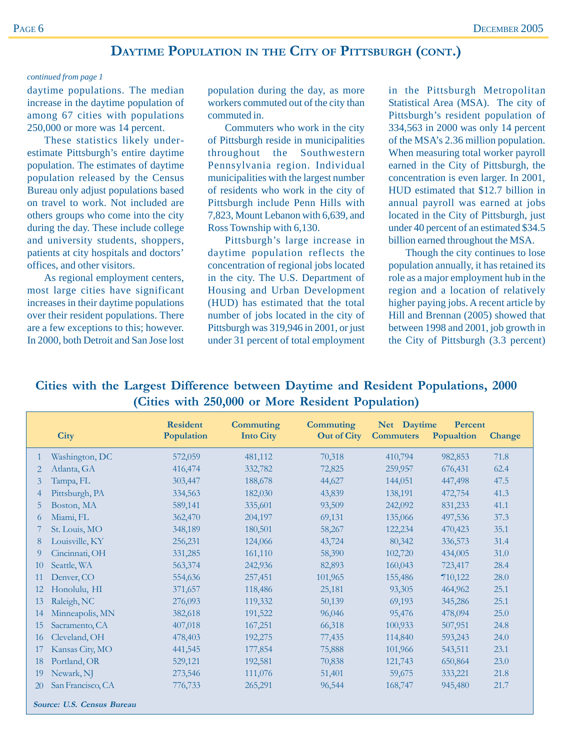### **DAYTIME POPULATION IN THE CITY OF PITTSBURGH (CONT.)**

### *continued from page 1*

daytime populations. The median increase in the daytime population of among 67 cities with populations 250,000 or more was 14 percent.

These statistics likely underestimate Pittsburgh's entire daytime population. The estimates of daytime population released by the Census Bureau only adjust populations based on travel to work. Not included are others groups who come into the city during the day. These include college and university students, shoppers, patients at city hospitals and doctors' offices, and other visitors.

As regional employment centers, most large cities have significant increases in their daytime populations over their resident populations. There are a few exceptions to this; however. In 2000, both Detroit and San Jose lost

population during the day, as more workers commuted out of the city than commuted in.

Commuters who work in the city of Pittsburgh reside in municipalities throughout the Southwestern Pennsylvania region. Individual municipalities with the largest number of residents who work in the city of Pittsburgh include Penn Hills with 7,823, Mount Lebanon with 6,639, and Ross Township with 6,130.

Pittsburgh's large increase in daytime population reflects the concentration of regional jobs located in the city. The U.S. Department of Housing and Urban Development (HUD) has estimated that the total number of jobs located in the city of Pittsburgh was 319,946 in 2001, or just under 31 percent of total employment in the Pittsburgh Metropolitan Statistical Area (MSA). The city of Pittsburgh's resident population of 334,563 in 2000 was only 14 percent of the MSA's 2.36 million population. When measuring total worker payroll earned in the City of Pittsburgh, the concentration is even larger. In 2001, HUD estimated that \$12.7 billion in annual payroll was earned at jobs located in the City of Pittsburgh, just under 40 percent of an estimated \$34.5 billion earned throughout the MSA.

Though the city continues to lose population annually, it has retained its role as a major employment hub in the region and a location of relatively higher paying jobs. A recent article by Hill and Brennan (2005) showed that between 1998 and 2001, job growth in the City of Pittsburgh (3.3 percent)

**Cities with the Largest Difference between Daytime and Resident Populations, 2000 (Cities with 250,000 or More Resident Population)**

|                            | <b>City</b>       | <b>Resident</b><br>Population | Commuting<br><b>Into City</b> | Commuting<br><b>Out of City</b> | Net Daytime<br><b>Commuters</b> | Percent<br>Popualtion |        |
|----------------------------|-------------------|-------------------------------|-------------------------------|---------------------------------|---------------------------------|-----------------------|--------|
|                            |                   |                               |                               |                                 |                                 |                       | Change |
| 1                          | Washington, DC    | 572,059                       | 481,112                       | 70,318                          | 410,794                         | 982,853               | 71.8   |
| 2                          | Atlanta, GA       | 416,474                       | 332,782                       | 72,825                          | 259,957                         | 676,431               | 62.4   |
| 3                          | Tampa, FL         | 303,447                       | 188,678                       | 44,627                          | 144,051                         | 447,498               | 47.5   |
| 4                          | Pittsburgh, PA    | 334,563                       | 182,030                       | 43,839                          | 138,191                         | 472,754               | 41.3   |
| 5                          | Boston, MA        | 589,141                       | 335,601                       | 93,509                          | 242,092                         | 831,233               | 41.1   |
| 6                          | Miami, FL         | 362,470                       | 204,197                       | 69,131                          | 135,066                         | 497,536               | 37.3   |
|                            | St. Louis, MO     | 348,189                       | 180,501                       | 58,267                          | 122,234                         | 470,423               | 35.1   |
| 8                          | Louisville, KY    | 256,231                       | 124,066                       | 43,724                          | 80,342                          | 336,573               | 31.4   |
| 9                          | Cincinnati, OH    | 331,285                       | 161,110                       | 58,390                          | 102,720                         | 434,005               | 31.0   |
| 10                         | Seattle, WA       | 563,374                       | 242,936                       | 82,893                          | 160,043                         | 723,417               | 28.4   |
| 11                         | Denver, CO        | 554,636                       | 257,451                       | 101,965                         | 155,486                         | 710,122               | 28.0   |
| 12                         | Honolulu, HI      | 371,657                       | 118,486                       | 25,181                          | 93,305                          | 464,962               | 25.1   |
| 13                         | Raleigh, NC       | 276,093                       | 119,332                       | 50,139                          | 69,193                          | 345,286               | 25.1   |
| 14                         | Minneapolis, MN   | 382,618                       | 191,522                       | 96,046                          | 95,476                          | 478,094               | 25.0   |
| 15                         | Sacramento, CA    | 407,018                       | 167,251                       | 66,318                          | 100,933                         | 507,951               | 24.8   |
| 16                         | Cleveland, OH     | 478,403                       | 192,275                       | 77,435                          | 114,840                         | 593,243               | 24.0   |
| 17                         | Kansas City, MO   | 441,545                       | 177,854                       | 75,888                          | 101,966                         | 543,511               | 23.1   |
| 18                         | Portland, OR      | 529,121                       | 192,581                       | 70,838                          | 121,743                         | 650,864               | 23.0   |
| 19                         | Newark, NJ        | 273,546                       | 111,076                       | 51,401                          | 59,675                          | 333,221               | 21.8   |
| 20                         | San Francisco, CA | 776,733                       | 265,291                       | 96,544                          | 168,747                         | 945,480               | 21.7   |
| Source: U.S. Census Bureau |                   |                               |                               |                                 |                                 |                       |        |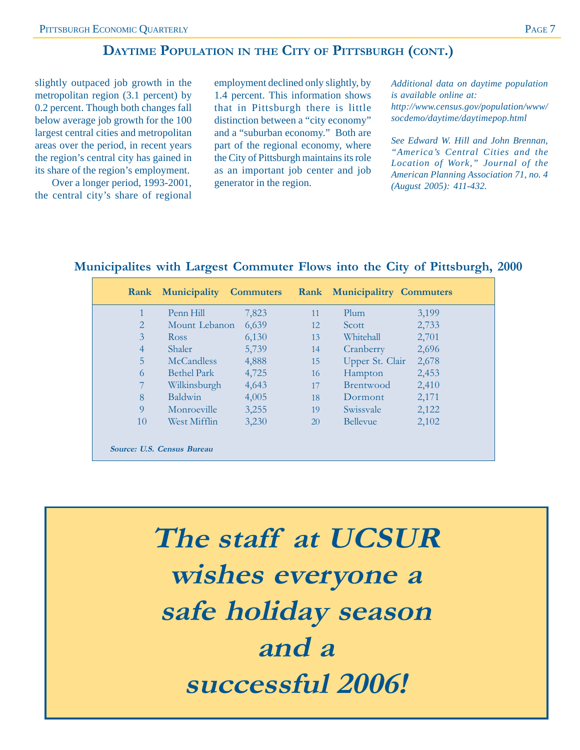## **DAYTIME POPULATION IN THE CITY OF PITTSBURGH (CONT.)**

slightly outpaced job growth in the metropolitan region (3.1 percent) by 0.2 percent. Though both changes fall below average job growth for the 100 largest central cities and metropolitan areas over the period, in recent years the region's central city has gained in its share of the region's employment.

Over a longer period, 1993-2001, the central city's share of regional employment declined only slightly, by 1.4 percent. This information shows that in Pittsburgh there is little distinction between a "city economy" and a "suburban economy." Both are part of the regional economy, where the City of Pittsburgh maintains its role as an important job center and job generator in the region.

*Additional data on daytime population is available online at: http://www.census.gov/population/www/ socdemo/daytime/daytimepop.html*

*See Edward W. Hill and John Brennan, "America's Central Cities and the Location of Work," Journal of the American Planning Association 71, no. 4 (August 2005): 411-432.*

### **Municipalites with Largest Commuter Flows into the City of Pittsburgh, 2000**

|                            | <b>Rank Municipality Commuters</b> |       |           | <b>Rank Municipalitry Commuters</b> |       |
|----------------------------|------------------------------------|-------|-----------|-------------------------------------|-------|
|                            | Penn Hill                          | 7,823 | 11        | Plum                                | 3,199 |
| $\overline{2}$             | Mount Lebanon                      | 6,639 | 12        | Scott                               | 2,733 |
| 3                          | <b>Ross</b>                        | 6,130 | 13        | Whitehall                           | 2,701 |
| $\overline{4}$             | <b>Shaler</b>                      | 5,739 | 14        | Cranberry                           | 2,696 |
| 5                          | <b>McCandless</b>                  | 4,888 | 15        | Upper St. Clair                     | 2,678 |
| 6                          | <b>Bethel Park</b>                 | 4,725 | 16        | Hampton                             | 2,453 |
| 7                          | Wilkinsburgh                       | 4,643 | 17        | <b>Brentwood</b>                    | 2,410 |
| 8                          | <b>Baldwin</b>                     | 4,005 | 18        | Dormont                             | 2,171 |
| 9                          | Monroeville                        | 3,255 | 19        | Swissyale                           | 2,122 |
| 10                         | West Mifflin                       | 3,230 | <b>20</b> | <b>Bellevue</b>                     | 2,102 |
| Source: U.S. Census Bureau |                                    |       |           |                                     |       |

**The staff at UCSUR wishes everyone a safe holiday season and a successful 2006!**